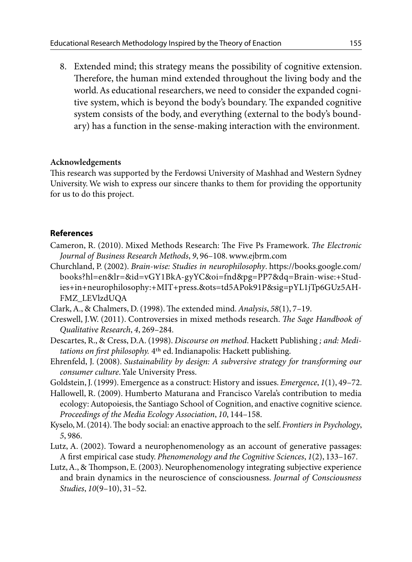8. Extended mind; this strategy means the possibility of cognitive extension. Therefore, the human mind extended throughout the living body and the world. As educational researchers, we need to consider the expanded cognitive system, which is beyond the body's boundary. The expanded cognitive system consists of the body, and everything (external to the body's boundary) has a function in the sense-making interaction with the environment.

## **Acknowledgements**

This research was supported by the Ferdowsi University of Mashhad and Western Sydney University. We wish to express our sincere thanks to them for providing the opportunity for us to do this project.

## **References**

- Cameron, R. (2010). Mixed Methods Research: The Five Ps Framework. *The Electronic Journal of Business Research Methods*, *9*, 96–108. www.ejbrm.com
- Churchland, P. (2002). *Brain-wise: Studies in neurophilosophy*. https://books.google.com/ books?hl=en&lr=&id=vGY1BkA-gyYC&oi=fnd&pg=PP7&dq=Brain-wise:+Studies+in+neurophilosophy:+MIT+press.&ots=td5APok91P&sig=pYL1jTp6GUz5AH-FMZ\_LEVlzdUQA
- Clark, A., & Chalmers, D. (1998). The extended mind. *Analysis*, *58*(1), 7–19.
- Creswell, J.W. (2011). Controversies in mixed methods research. *The Sage Handbook of Qualitative Research*, *4*, 269–284.
- Descartes, R., & Cress, D.A. (1998). *Discourse on method*. Hackett Publishing *; and: Meditations on first philosophy.* 4th ed. Indianapolis: Hackett publishing.
- Ehrenfeld, J. (2008). *Sustainability by design: A subversive strategy for transforming our consumer culture*. Yale University Press.
- Goldstein, J. (1999). Emergence as a construct: History and issues. *Emergence*, *1*(1), 49–72.
- Hallowell, R. (2009). Humberto Maturana and Francisco Varela's contribution to media ecology: Autopoiesis, the Santiago School of Cognition, and enactive cognitive science. *Proceedings of the Media Ecology Association*, *10*, 144–158.
- Kyselo, M. (2014). The body social: an enactive approach to the self. *Frontiers in Psychology*, *5*, 986.
- Lutz, A. (2002). Toward a neurophenomenology as an account of generative passages: A first empirical case study. *Phenomenology and the Cognitive Sciences*, *1*(2), 133–167.
- Lutz, A., & Thompson, E. (2003). Neurophenomenology integrating subjective experience and brain dynamics in the neuroscience of consciousness. *Journal of Consciousness Studies*, *10*(9–10), 31–52.